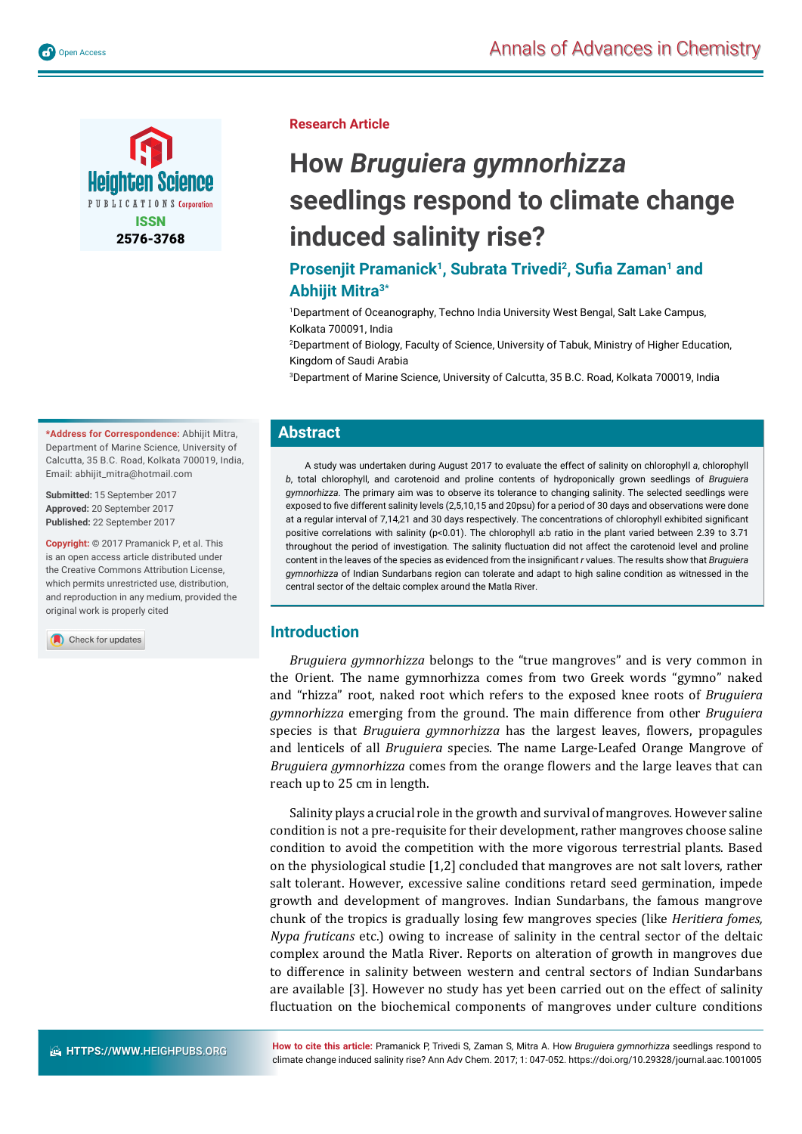

**Research Article**

# **How** *Bruguiera gymnorhizza* **seedlings respond to climate change induced salinity rise?**

# Prosenjit Pramanick<sup>1</sup>, Subrata Trivedi<sup>2</sup>, Sufia Zaman<sup>1</sup> and **Abhijit Mitra3\***

1 Department of Oceanography, Techno India University West Bengal, Salt Lake Campus, Kolkata 700091, India

2 Department of Biology, Faculty of Science, University of Tabuk, Ministry of Higher Education, Kingdom of Saudi Arabia

3 Department of Marine Science, University of Calcutta, 35 B.C. Road, Kolkata 700019, India

## **Abstract**

A study was undertaken during August 2017 to evaluate the effect of salinity on chlorophyll *a*, chlorophyll *b*, total chlorophyll, and carotenoid and proline contents of hydroponically grown seedlings of *Bruguiera gymnorhizza*. The primary aim was to observe its tolerance to changing salinity. The selected seedlings were exposed to five different salinity levels (2,5,10,15 and 20psu) for a period of 30 days and observations were done at a regular interval of 7,14,21 and 30 days respectively. The concentrations of chlorophyll exhibited significant positive correlations with salinity (p<0.01). The chlorophyll a:b ratio in the plant varied between 2.39 to 3.71 throughout the period of investigation. The salinity fluctuation did not affect the carotenoid level and proline content in the leaves of the species as evidenced from the insignificant *r* values. The results show that *Bruguiera gymnorhizza* of Indian Sundarbans region can tolerate and adapt to high saline condition as witnessed in the central sector of the deltaic complex around the Matla River.

## **Introduction**

*Bruguiera gymnorhizza* belongs to the "true mangroves" and is very common in the Orient. The name gymnorhizza comes from two Greek words "gymno" naked and "rhizza" root, naked root which refers to the exposed knee roots of *Bruguiera gymnorhizza* emerging from the ground. The main difference from other *Bruguiera* species is that *Bruguiera gymnorhizza* has the largest leaves, flowers, propagules and lenticels of all *Bruguiera* species. The name Large-Leafed Orange Mangrove of *Bruguiera gymnorhizza* comes from the orange flowers and the large leaves that can reach up to 25 cm in length.

Salinity plays a crucial role in the growth and survival of mangroves. However saline condition is not a pre-requisite for their development, rather mangroves choose saline condition to avoid the competition with the more vigorous terrestrial plants. Based on the physiological studie [1,2] concluded that mangroves are not salt lovers, rather salt tolerant. However, excessive saline conditions retard seed germination, impede growth and development of mangroves. Indian Sundarbans, the famous mangrove chunk of the tropics is gradually losing few mangroves species (like *Heritiera fomes, Nypa fruticans* etc.) owing to increase of salinity in the central sector of the deltaic complex around the Matla River. Reports on alteration of growth in mangroves due to difference in salinity between western and central sectors of Indian Sundarbans are available [3]. However no study has yet been carried out on the effect of salinity fluctuation on the biochemical components of mangroves under culture conditions

**\*Address for Correspondence:** Abhijit Mitra, Department of Marine Science, University of Calcutta, 35 B.C. Road, Kolkata 700019, India, Email: abhijit\_mitra@hotmail.com

**Submitted:** 15 September 2017 **Approved:** 20 September 2017 **Published:** 22 September 2017

**Copyright: ©** 2017 Pramanick P, et al. This is an open access article distributed under the Creative Commons Attribution License, which permits unrestricted use, distribution and reproduction in any medium, provided the original work is properly cited

Check for updates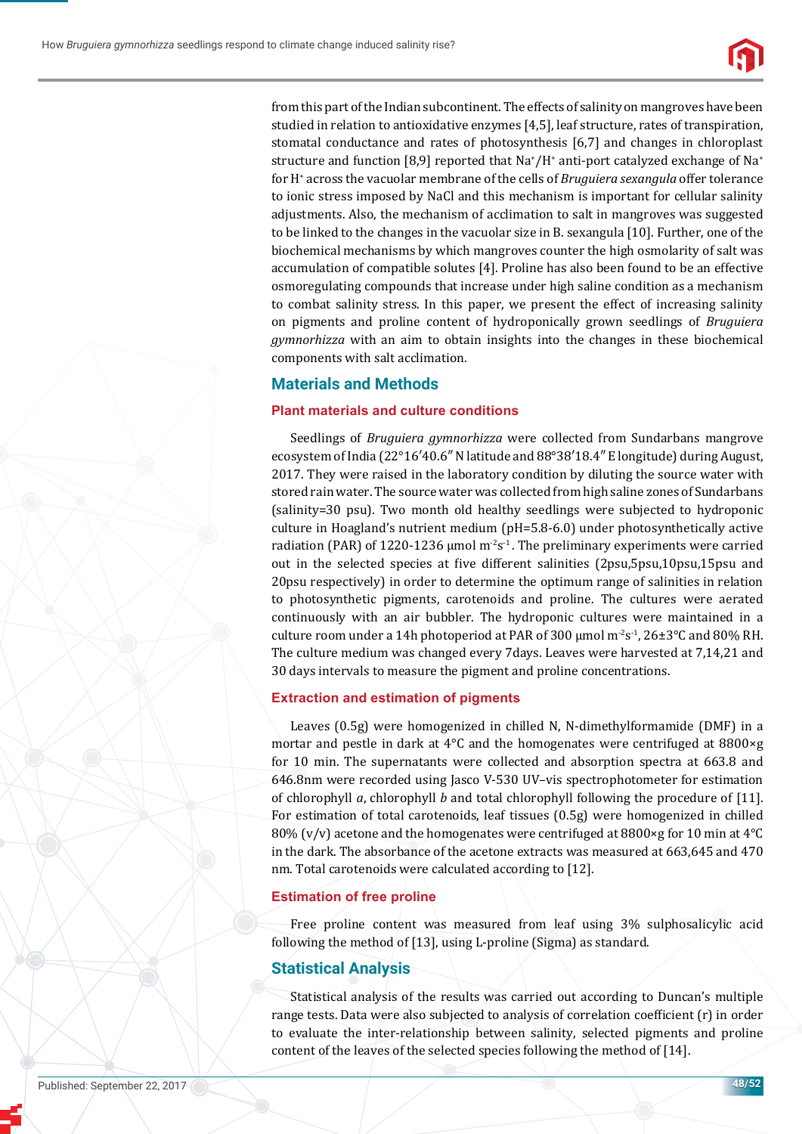

from this part of the Indian subcontinent. The effects of salinity on mangroves have been studied in relation to antioxidative enzymes [4,5], leaf structure, rates of transpiration, stomatal conductance and rates of photosynthesis [6,7] and changes in chloroplast structure and function [8,9] reported that  $Na^*/H^*$  anti-port catalyzed exchange of Na<sup>+</sup> for H+ across the vacuolar membrane of the cells of *Bruguiera sexangula* offer tolerance to ionic stress imposed by NaCl and this mechanism is important for cellular salinity adjustments. Also, the mechanism of acclimation to salt in mangroves was suggested to be linked to the changes in the vacuolar size in B. sexangula [10]. Further, one of the biochemical mechanisms by which mangroves counter the high osmolarity of salt was accumulation of compatible solutes [4]. Proline has also been found to be an effective osmoregulating compounds that increase under high saline condition as a mechanism to combat salinity stress. In this paper, we present the effect of increasing salinity on pigments and proline content of hydroponically grown seedlings of *Bruguiera gymnorhizza* with an aim to obtain insights into the changes in these biochemical components with salt acclimation.

## **Materials and Methods**

#### **Plant materials and culture conditions**

Seedlings of *Bruguiera gymnorhizza* were collected from Sundarbans mangrove ecosystem of India (22°16′40.6″ N latitude and 88°38′18.4″ E longitude) during August, 2017. They were raised in the laboratory condition by diluting the source water with stored rain water. The source water was collected from high saline zones of Sundarbans (salinity=30 psu). Two month old healthy seedlings were subjected to hydroponic culture in Hoagland's nutrient medium (pH=5.8-6.0) under photosynthetically active radiation (PAR) of 1220-1236  $\mu$ mol m<sup>-2</sup>s<sup>-1</sup>. The preliminary experiments were carried out in the selected species at five different salinities (2psu,5psu,10psu,15psu and 20psu respectively) in order to determine the optimum range of salinities in relation to photosynthetic pigments, carotenoids and proline. The cultures were aerated continuously with an air bubbler. The hydroponic cultures were maintained in a culture room under a 14h photoperiod at PAR of 300  $\mu$ mol m<sup>-2</sup>s<sup>-1</sup>, 26±3°C and 80% RH. The culture medium was changed every 7days. Leaves were harvested at 7,14,21 and 30 days intervals to measure the pigment and proline concentrations.

#### **Extraction and estimation of pigments**

Leaves (0.5g) were homogenized in chilled N, N-dimethylformamide (DMF) in a mortar and pestle in dark at 4°C and the homogenates were centrifuged at 8800×g for 10 min. The supernatants were collected and absorption spectra at 663.8 and 646.8nm were recorded using Jasco V-530 UV–vis spectrophotometer for estimation of chlorophyll *a*, chlorophyll *b* and total chlorophyll following the procedure of [11]. For estimation of total carotenoids, leaf tissues (0.5g) were homogenized in chilled 80% (v/v) acetone and the homogenates were centrifuged at 8800 $\times$ g for 10 min at 4 $\rm{°C}$ in the dark. The absorbance of the acetone extracts was measured at 663,645 and 470 nm. Total carotenoids were calculated according to [12].

#### **Estimation of free proline**

Free proline content was measured from leaf using 3% sulphosalicylic acid following the method of [13], using L-proline (Sigma) as standard.

## **Statistical Analysis**

Statistical analysis of the results was carried out according to Duncan's multiple range tests. Data were also subjected to analysis of correlation coefficient (r) in order to evaluate the inter-relationship between salinity, selected pigments and proline content of the leaves of the selected species following the method of [14].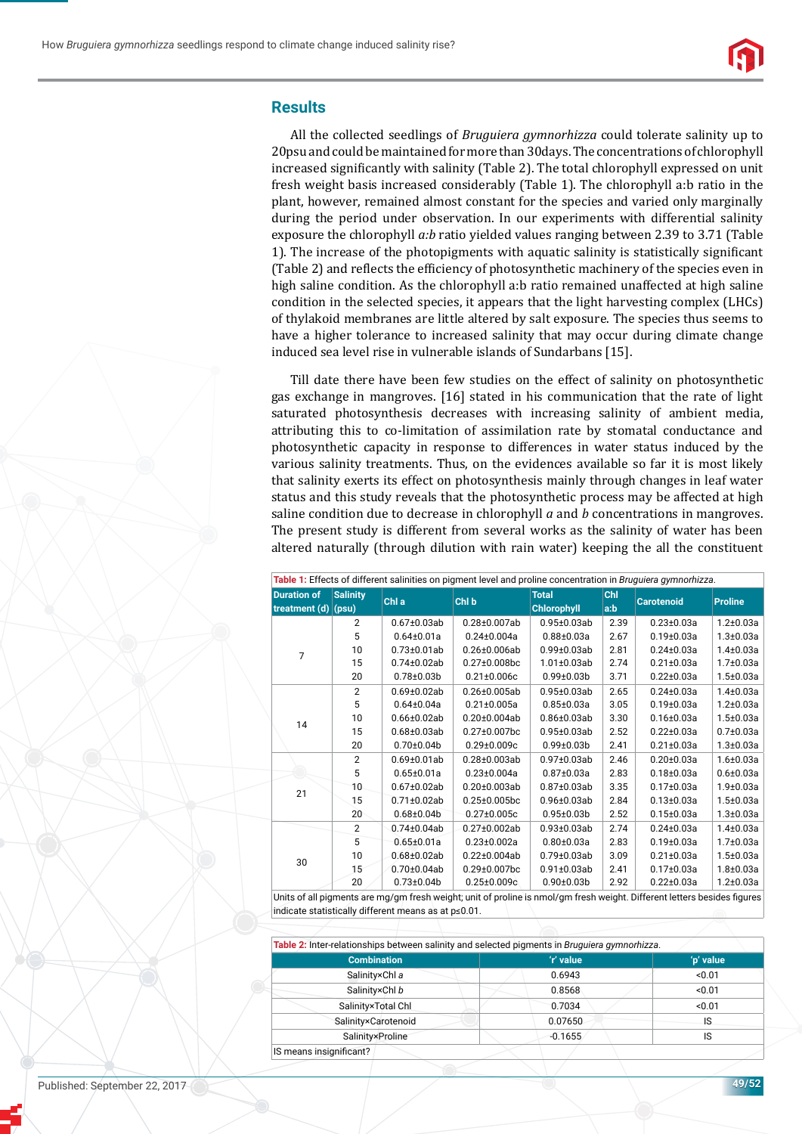

#### **Results**

All the collected seedlings of *Bruguiera gymnorhizza* could tolerate salinity up to 20psu and could be maintained for more than 30days. The concentrations of chlorophyll increased significantly with salinity (Table 2). The total chlorophyll expressed on unit fresh weight basis increased considerably (Table 1). The chlorophyll a:b ratio in the plant, however, remained almost constant for the species and varied only marginally during the period under observation. In our experiments with differential salinity exposure the chlorophyll *a:b* ratio yielded values ranging between 2.39 to 3.71 (Table 1). The increase of the photopigments with aquatic salinity is statistically significant (Table 2) and reflects the efficiency of photosynthetic machinery of the species even in high saline condition. As the chlorophyll a:b ratio remained unaffected at high saline condition in the selected species, it appears that the light harvesting complex (LHCs) of thylakoid membranes are little altered by salt exposure. The species thus seems to have a higher tolerance to increased salinity that may occur during climate change induced sea level rise in vulnerable islands of Sundarbans [15].

Till date there have been few studies on the effect of salinity on photosynthetic gas exchange in mangroves. [16] stated in his communication that the rate of light saturated photosynthesis decreases with increasing salinity of ambient media, attributing this to co-limitation of assimilation rate by stomatal conductance and photosynthetic capacity in response to differences in water status induced by the various salinity treatments. Thus, on the evidences available so far it is most likely that salinity exerts its effect on photosynthesis mainly through changes in leaf water status and this study reveals that the photosynthetic process may be affected at high saline condition due to decrease in chlorophyll *a* and *b* concentrations in mangroves. The present study is different from several works as the salinity of water has been altered naturally (through dilution with rain water) keeping the all the constituent

| Table 1: Effects of different salinities on pigment level and proline concentration in Bruguiera gymnorhizza. |                 |                    |                                                                                                                                            |                                    |            |                   |                 |  |
|---------------------------------------------------------------------------------------------------------------|-----------------|--------------------|--------------------------------------------------------------------------------------------------------------------------------------------|------------------------------------|------------|-------------------|-----------------|--|
| <b>Duration of</b><br>treatment $(d)$ (psu)                                                                   | <b>Salinity</b> | Chl a              | Chl b                                                                                                                                      | <b>Total</b><br><b>Chlorophyll</b> | Chl<br>a:b | <b>Carotenoid</b> | <b>Proline</b>  |  |
|                                                                                                               | 2               | $0.67 \pm 0.03$ ab | $0.28 \pm 0.007$ ab                                                                                                                        | $0.95 \pm 0.03$ ab                 | 2.39       | $0.23 \pm 0.03a$  | $1.2 \pm 0.03a$ |  |
| $\overline{7}$                                                                                                | 5               | $0.64 \pm 0.01a$   | $0.24 \pm 0.004a$                                                                                                                          | $0.88 + 0.03a$                     | 2.67       | $0.19 \pm 0.03a$  | $1.3 + 0.03a$   |  |
|                                                                                                               | 10              | $0.73 \pm 0.01$ ab | $0.26 \pm 0.006$ ab                                                                                                                        | $0.99 \pm 0.03$ ab                 | 2.81       | $0.24 \pm 0.03a$  | $1.4 + 0.03a$   |  |
|                                                                                                               | 15              | $0.74 \pm 0.02$ ab | $0.27 \pm 0.008$ bc                                                                                                                        | $1.01 \pm 0.03$ ab                 | 2.74       | $0.21 \pm 0.03a$  | $1.7 \pm 0.03a$ |  |
|                                                                                                               | 20              | $0.78 \pm 0.03 b$  | $0.21 \pm 0.006c$                                                                                                                          | $0.99 \pm 0.03 b$                  | 3.71       | $0.22 \pm 0.03a$  | $1.5 \pm 0.03a$ |  |
|                                                                                                               | $\overline{2}$  | $0.69 \pm 0.02$ ab | $0.26 \pm 0.005$ ab                                                                                                                        | $0.95 \pm 0.03$ ab                 | 2.65       | $0.24 \pm 0.03a$  | $1.4 + 0.03a$   |  |
| 14                                                                                                            | 5               | $0.64 \pm 0.04a$   | $0.21 \pm 0.005a$                                                                                                                          | $0.85 \pm 0.03a$                   | 3.05       | $0.19 \pm 0.03a$  | $1.2 \pm 0.03a$ |  |
|                                                                                                               | 10              | $0.66 \pm 0.02$ ab | $0.20 \pm 0.004$ ab                                                                                                                        | $0.86 \pm 0.03$ ab                 | 3.30       | $0.16 \pm 0.03a$  | $1.5 \pm 0.03a$ |  |
|                                                                                                               | 15              | $0.68 \pm 0.03$ ab | $0.27 \pm 0.007$ bc                                                                                                                        | $0.95 \pm 0.03$ ab                 | 2.52       | $0.22 \pm 0.03a$  | $0.7 \pm 0.03a$ |  |
|                                                                                                               | 20              | $0.70 \pm 0.04$ b  | $0.29 \pm 0.009c$                                                                                                                          | $0.99 \pm 0.03 b$                  | 2.41       | $0.21 \pm 0.03a$  | $1.3 + 0.03a$   |  |
|                                                                                                               | $\overline{2}$  | $0.69 \pm 0.01$ ab | $0.28 \pm 0.003$ ab                                                                                                                        | $0.97 \pm 0.03$ ab                 | 2.46       | $0.20 \pm 0.03a$  | $1.6 \pm 0.03a$ |  |
|                                                                                                               | 5               | $0.65 \pm 0.01a$   | $0.23 \pm 0.004a$                                                                                                                          | $0.87 \pm 0.03a$                   | 2.83       | $0.18 + 0.03a$    | $0.6 \pm 0.03a$ |  |
| 21                                                                                                            | 10              | $0.67 \pm 0.02$ ab | $0.20 \pm 0.003$ ab                                                                                                                        | $0.87 \pm 0.03$ ab                 | 3.35       | $0.17 \pm 0.03a$  | $1.9 + 0.03a$   |  |
|                                                                                                               | 15              | $0.71 \pm 0.02$ ab | $0.25 \pm 0.005$ bc                                                                                                                        | $0.96 \pm 0.03$ ab                 | 2.84       | $0.13 \pm 0.03a$  | $1.5 \pm 0.03a$ |  |
|                                                                                                               | $20^{\circ}$    | $0.68 \pm 0.04 b$  | $0.27 \pm 0.005c$                                                                                                                          | $0.95 \pm 0.03 b$                  | 2.52       | $0.15 \pm 0.03a$  | $1.3 \pm 0.03a$ |  |
| 30                                                                                                            | $\overline{2}$  | $0.74 \pm 0.04$ ab | $0.27 \pm 0.002$ ab                                                                                                                        | $0.93 \pm 0.03$ ab                 | 2.74       | $0.24 \pm 0.03a$  | $1.4 + 0.03a$   |  |
|                                                                                                               | 5               | $0.65 \pm 0.01a$   | $0.23 \pm 0.002a$                                                                                                                          | $0.80 \pm 0.03a$                   | 2.83       | $0.19 \pm 0.03a$  | $1.7 \pm 0.03a$ |  |
|                                                                                                               | 10              | $0.68 \pm 0.02$ ab | $0.22 \pm 0.004$ ab                                                                                                                        | $0.79 \pm 0.03$ ab                 | 3.09       | $0.21 \pm 0.03a$  | $1.5 \pm 0.03a$ |  |
|                                                                                                               | 15              | $0.70 \pm 0.04$ ab | $0.29 \pm 0.007$ bc                                                                                                                        | $0.91 \pm 0.03$ ab                 | 2.41       | $0.17 \pm 0.03a$  | $1.8 + 0.03a$   |  |
| $11.222 - 22.211 - 2.2$                                                                                       | 20              | $0.73 \pm 0.04 b$  | $0.25 \pm 0.009c$<br>a sukafana na mfundi fina ki matalaki mate af mulita a ta masa Huma finali matalaki. Wiffensuk hakana karatsha a Amma | $0.90 \pm 0.03 b$                  | 2.92       | $0.22 \pm 0.03a$  | $1.2 \pm 0.03a$ |  |

Units of all pigments are mg/gm fresh weight; unit of proline is nmol/gm fresh weight. Different letters besides figures indicate statistically different means as at p≤0.01.

| <b>Combination</b>  | 'r' value | 'p' value |
|---------------------|-----------|-----------|
| Salinity×Chl a      | 0.6943    | < 0.01    |
| Salinity×Chl b      | 0.8568    | < 0.01    |
| Salinity×Total Chl  | 0.7034    | < 0.01    |
| Salinity×Carotenoid | 0.07650   | IS        |
| Salinity×Proline    | $-0.1655$ | IS        |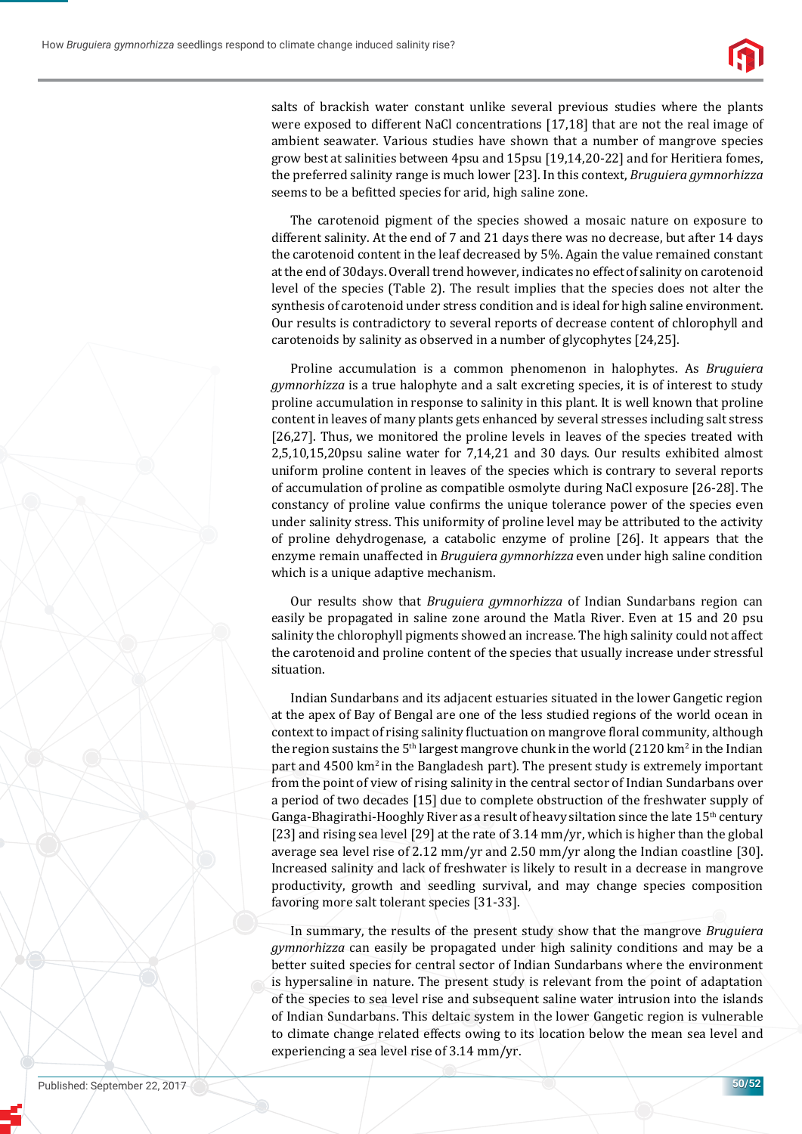

salts of brackish water constant unlike several previous studies where the plants were exposed to different NaCl concentrations [17,18] that are not the real image of ambient seawater. Various studies have shown that a number of mangrove species grow best at salinities between 4psu and 15psu [19,14,20-22] and for Heritiera fomes, the preferred salinity range is much lower [23]. In this context, *Bruguiera gymnorhizza* seems to be a befitted species for arid, high saline zone.

The carotenoid pigment of the species showed a mosaic nature on exposure to different salinity. At the end of 7 and 21 days there was no decrease, but after 14 days the carotenoid content in the leaf decreased by 5%. Again the value remained constant at the end of 30days. Overall trend however, indicates no effect of salinity on carotenoid level of the species (Table 2). The result implies that the species does not alter the synthesis of carotenoid under stress condition and is ideal for high saline environment. Our results is contradictory to several reports of decrease content of chlorophyll and carotenoids by salinity as observed in a number of glycophytes [24,25].

Proline accumulation is a common phenomenon in halophytes. As *Bruguiera gymnorhizza* is a true halophyte and a salt excreting species, it is of interest to study proline accumulation in response to salinity in this plant. It is well known that proline content in leaves of many plants gets enhanced by several stresses including salt stress [26,27]. Thus, we monitored the proline levels in leaves of the species treated with 2,5,10,15,20psu saline water for 7,14,21 and 30 days. Our results exhibited almost uniform proline content in leaves of the species which is contrary to several reports of accumulation of proline as compatible osmolyte during NaCl exposure [26-28]. The constancy of proline value confirms the unique tolerance power of the species even under salinity stress. This uniformity of proline level may be attributed to the activity of proline dehydrogenase, a catabolic enzyme of proline [26]. It appears that the enzyme remain unaffected in *Bruguiera gymnorhizza* even under high saline condition which is a unique adaptive mechanism.

Our results show that *Bruguiera gymnorhizza* of Indian Sundarbans region can easily be propagated in saline zone around the Matla River. Even at 15 and 20 psu salinity the chlorophyll pigments showed an increase. The high salinity could not affect the carotenoid and proline content of the species that usually increase under stressful situation.

Indian Sundarbans and its adjacent estuaries situated in the lower Gangetic region at the apex of Bay of Bengal are one of the less studied regions of the world ocean in context to impact of rising salinity fluctuation on mangrove floral community, although the region sustains the 5<sup>th</sup> largest mangrove chunk in the world (2120 km<sup>2</sup> in the Indian part and 4500 km2 in the Bangladesh part). The present study is extremely important from the point of view of rising salinity in the central sector of Indian Sundarbans over a period of two decades [15] due to complete obstruction of the freshwater supply of Ganga-Bhagirathi-Hooghly River as a result of heavy siltation since the late 15<sup>th</sup> century [23] and rising sea level [29] at the rate of 3.14 mm/yr, which is higher than the global average sea level rise of 2.12 mm/yr and 2.50 mm/yr along the Indian coastline [30]. Increased salinity and lack of freshwater is likely to result in a decrease in mangrove productivity, growth and seedling survival, and may change species composition favoring more salt tolerant species [31-33].

In summary, the results of the present study show that the mangrove *Bruguiera gymnorhizza* can easily be propagated under high salinity conditions and may be a better suited species for central sector of Indian Sundarbans where the environment is hypersaline in nature. The present study is relevant from the point of adaptation of the species to sea level rise and subsequent saline water intrusion into the islands of Indian Sundarbans. This deltaic system in the lower Gangetic region is vulnerable to climate change related effects owing to its location below the mean sea level and experiencing a sea level rise of 3.14 mm/yr.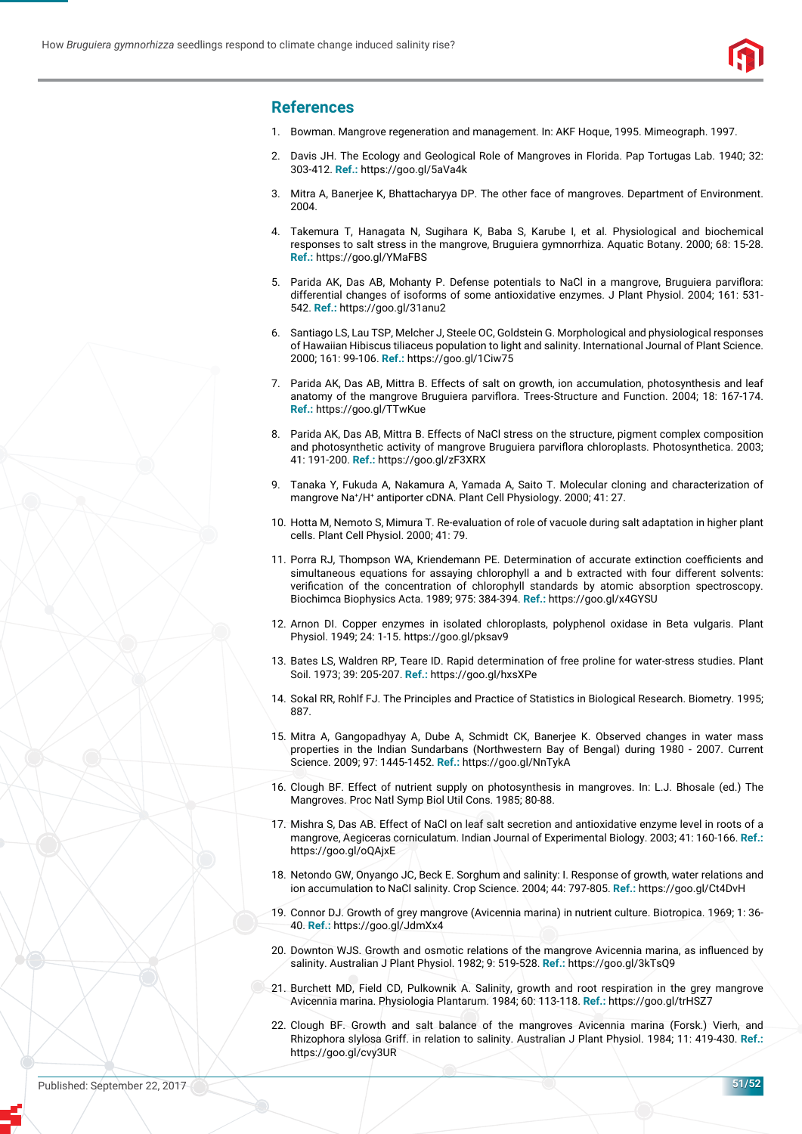

#### **References**

- 1. Bowman. Mangrove regeneration and management. In: AKF Hoque, 1995. Mimeograph. 1997.
- 2. Davis JH. The Ecology and Geological Role of Mangroves in Florida. Pap Tortugas Lab. 1940; 32: 303-412. **Ref.:** https://goo.gl/5aVa4k
- 3. Mitra A, Banerjee K, Bhattacharyya DP. The other face of mangroves. Department of Environment. 2004.
- 4. Takemura T, Hanagata N, Sugihara K, Baba S, Karube I, et al. Physiological and biochemical responses to salt stress in the mangrove, Bruguiera gymnorrhiza. Aquatic Botany. 2000; 68: 15-28. **Ref.:** https://goo.gl/YMaFBS
- 5. Parida AK, Das AB, Mohanty P. Defense potentials to NaCl in a mangrove, Bruguiera parviflora: differential changes of isoforms of some antioxidative enzymes. J Plant Physiol. 2004; 161: 531- 542. **Ref.:** https://goo.gl/31anu2
- 6. Santiago LS, Lau TSP, Melcher J, Steele OC, Goldstein G. Morphological and physiological responses of Hawaiian Hibiscus tiliaceus population to light and salinity. International Journal of Plant Science. 2000; 161: 99-106. **Ref.:** https://goo.gl/1Ciw75
- 7. Parida AK, Das AB, Mittra B. Effects of salt on growth, ion accumulation, photosynthesis and leaf anatomy of the mangrove Bruguiera parviflora. Trees-Structure and Function. 2004; 18: 167-174. **Ref.:** https://goo.gl/TTwKue
- 8. Parida AK, Das AB, Mittra B. Effects of NaCl stress on the structure, pigment complex composition and photosynthetic activity of mangrove Bruguiera parviflora chloroplasts. Photosynthetica. 2003; 41: 191-200. **Ref.:** https://goo.gl/zF3XRX
- 9. Tanaka Y, Fukuda A, Nakamura A, Yamada A, Saito T. Molecular cloning and characterization of mangrove Na<sup>+</sup>/H<sup>+</sup> antiporter cDNA. Plant Cell Physiology. 2000; 41: 27.
- 10. Hotta M, Nemoto S, Mimura T. Re-evaluation of role of vacuole during salt adaptation in higher plant cells. Plant Cell Physiol. 2000; 41: 79.
- 11. Porra RJ, Thompson WA, Kriendemann PE. Determination of accurate extinction coefficients and simultaneous equations for assaying chlorophyll a and b extracted with four different solvents: verification of the concentration of chlorophyll standards by atomic absorption spectroscopy. Biochimca Biophysics Acta. 1989; 975: 384-394. **Ref.:** https://goo.gl/x4GYSU
- 12. Arnon DI. Copper enzymes in isolated chloroplasts, polyphenol oxidase in Beta vulgaris. Plant Physiol. 1949; 24: 1-15. https://goo.gl/pksav9
- 13. Bates LS, Waldren RP, Teare ID. Rapid determination of free proline for water-stress studies. Plant Soil. 1973; 39: 205-207. **Ref.:** https://goo.gl/hxsXPe
- 14. Sokal RR, Rohlf FJ. The Principles and Practice of Statistics in Biological Research. Biometry. 1995; 887.
- 15. Mitra A, Gangopadhyay A, Dube A, Schmidt CK, Banerjee K. Observed changes in water mass properties in the Indian Sundarbans (Northwestern Bay of Bengal) during 1980 - 2007. Current Science. 2009; 97: 1445-1452. **Ref.:** https://goo.gl/NnTykA
- 16. Clough BF. Effect of nutrient supply on photosynthesis in mangroves. In: L.J. Bhosale (ed.) The Mangroves. Proc Natl Symp Biol Util Cons. 1985; 80-88.
- 17. Mishra S, Das AB. Effect of NaCl on leaf salt secretion and antioxidative enzyme level in roots of a mangrove, Aegiceras corniculatum. Indian Journal of Experimental Biology. 2003; 41: 160-166. **Ref.:** https://goo.gl/oQAjxE
- 18. Netondo GW, Onyango JC, Beck E. Sorghum and salinity: I. Response of growth, water relations and ion accumulation to NaCl salinity. Crop Science. 2004; 44: 797-805. **Ref.:** https://goo.gl/Ct4DvH
- 19. Connor DJ. Growth of grey mangrove (Avicennia marina) in nutrient culture. Biotropica. 1969; 1: 36- 40. **Ref.:** https://goo.gl/JdmXx4
- 20. Downton WJS. Growth and osmotic relations of the mangrove Avicennia marina, as influenced by salinity. Australian J Plant Physiol. 1982; 9: 519-528. **Ref.:** https://goo.gl/3kTsQ9
- 21. Burchett MD, Field CD, Pulkownik A. Salinity, growth and root respiration in the grey mangrove Avicennia marina. Physiologia Plantarum. 1984; 60: 113-118. **Ref.:** https://goo.gl/trHSZ7
- 22. Clough BF. Growth and salt balance of the mangroves Avicennia marina (Forsk.) Vierh, and Rhizophora slylosa Griff. in relation to salinity. Australian J Plant Physiol. 1984; 11: 419-430. **Ref.:** https://goo.gl/cvy3UR